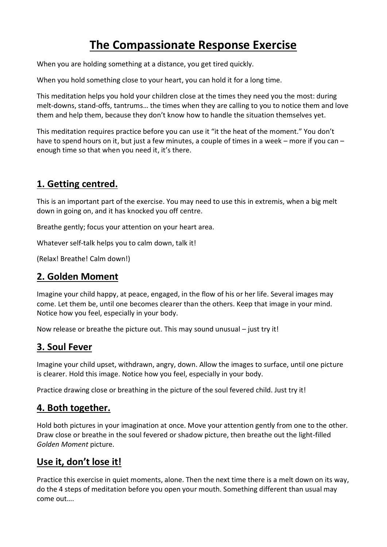# **The Compassionate Response Exercise**

When you are holding something at a distance, you get tired quickly.

When you hold something close to your heart, you can hold it for a long time.

This meditation helps you hold your children close at the times they need you the most: during melt-downs, stand-offs, tantrums… the times when they are calling to you to notice them and love them and help them, because they don't know how to handle the situation themselves yet.

This meditation requires practice before you can use it "it the heat of the moment." You don't have to spend hours on it, but just a few minutes, a couple of times in a week – more if you can – enough time so that when you need it, it's there.

# **1. Getting centred.**

This is an important part of the exercise. You may need to use this in extremis, when a big melt down in going on, and it has knocked you off centre.

Breathe gently; focus your attention on your heart area.

Whatever self-talk helps you to calm down, talk it!

(Relax! Breathe! Calm down!)

## **2. Golden Moment**

Imagine your child happy, at peace, engaged, in the flow of his or her life. Several images may come. Let them be, until one becomes clearer than the others. Keep that image in your mind. Notice how you feel, especially in your body.

Now release or breathe the picture out. This may sound unusual – just try it!

### **3. Soul Fever**

Imagine your child upset, withdrawn, angry, down. Allow the images to surface, until one picture is clearer. Hold this image. Notice how you feel, especially in your body.

Practice drawing close or breathing in the picture of the soul fevered child. Just try it!

### **4. Both together.**

Hold both pictures in your imagination at once. Move your attention gently from one to the other. Draw close or breathe in the soul fevered or shadow picture, then breathe out the light-filled *Golden Moment* picture.

### **Use it, don't lose it!**

Practice this exercise in quiet moments, alone. Then the next time there is a melt down on its way, do the 4 steps of meditation before you open your mouth. Something different than usual may come out….